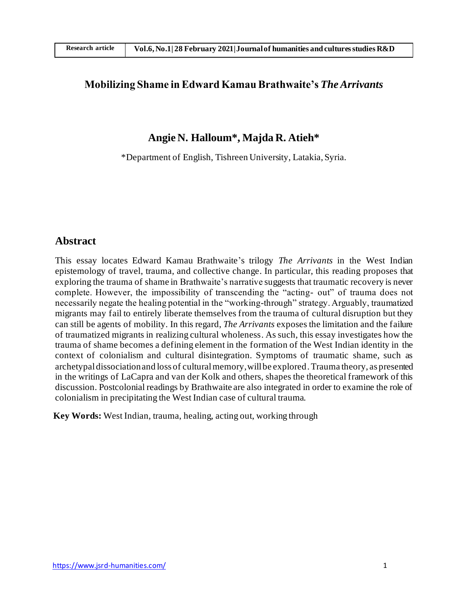## **Mobilizing Shame in Edward Kamau Brathwaite's** *The Arrivants*

## **Angie N. Halloum\*, Majda R. Atieh\***

\*Department of English, Tishreen University, Latakia, Syria.

## **Abstract**

This essay locates Edward Kamau Brathwaite's trilogy *The Arrivants* in the West Indian epistemology of travel, trauma, and collective change. In particular, this reading proposes that exploring the trauma of shame in Brathwaite's narrative suggests that traumatic recovery is never complete. However, the impossibility of transcending the "acting- out" of trauma does not necessarily negate the healing potential in the "working-through" strategy. Arguably, traumatized migrants may fail to entirely liberate themselves from the trauma of cultural disruption but they can still be agents of mobility. In this regard, *The Arrivants* exposes the limitation and the failure of traumatized migrants in realizing cultural wholeness. As such, this essay investigates how the trauma of shame becomes a defining element in the formation of the West Indian identity in the context of colonialism and cultural disintegration. Symptoms of traumatic shame, such as archetypal dissociation and loss of cultural memory, will be explored.Trauma theory, as presented in the writings of LaCapra and van der Kolk and others, shapes the theoretical framework of this discussion. Postcolonial readings by Brathwaite are also integrated in order to examine the role of colonialism in precipitating the West Indian case of cultural trauma.

**Key Words:** West Indian, trauma, healing, acting out, working through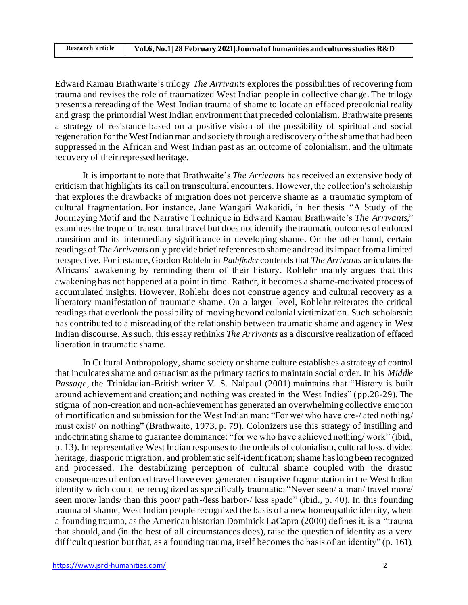Research Research article

Edward Kamau Brathwaite's trilogy *The Arrivants* explores the possibilities of recovering from trauma and revises the role of traumatized West Indian people in collective change. The trilogy presents a rereading of the West Indian trauma of shame to locate an effaced precolonial reality and grasp the primordial West Indian environment that preceded colonialism. Brathwaite presents a strategy of resistance based on a positive vision of the possibility of spiritual and social regeneration for the West Indian man and society through a rediscovery of the shame that had been suppressed in the African and West Indian past as an outcome of colonialism, and the ultimate recovery of their repressed heritage.

It is important to note that Brathwaite's *The Arrivants* has received an extensive body of criticism that highlights its call on transcultural encounters. However, the collection's scholarship that explores the drawbacks of migration does not perceive shame as a traumatic symptom of cultural fragmentation. For instance, Jane Wangari Wakaridi, in her thesis "A Study of the Journeying Motif and the Narrative Technique in Edward Kamau Brathwaite's *The Arrivants,*" examines the trope of transcultural travel but does not identify the traumatic outcomes of enforced transition and its intermediary significance in developing shame. On the other hand, certain readings of *The Arrivants* only provide brief references to shame and read its impact from a limited perspective. For instance, Gordon Rohlehr in *Pathfinder* contends that *The Arrivants* articulates the Africans' awakening by reminding them of their history. Rohlehr mainly argues that this awakening has not happened at a point in time. Rather, it becomes a shame-motivated process of accumulated insights. However, Rohlehr does not construe agency and cultural recovery as a liberatory manifestation of traumatic shame. On a larger level, Rohlehr reiterates the critical readings that overlook the possibility of moving beyond colonial victimization. Such scholarship has contributed to a misreading of the relationship between traumatic shame and agency in West Indian discourse. As such, this essay rethinks *The Arrivants* as a discursive realization of effaced liberation in traumatic shame.

In Cultural Anthropology, shame society or shame culture establishes a strategy of control that inculcates shame and ostracism as the primary tactics to maintain social order. In his *Middle Passage*, the Trinidadian-British writer V. S. Naipaul (2001) maintains that "History is built around achievement and creation; and nothing was created in the West Indies" (pp.28-29). The stigma of non-creation and non-achievement has generated an overwhelming collective emotion of mortification and submission for the West Indian man: "For we/ who have cre-/ ated nothing,/ must exist/ on nothing" (Brathwaite, 1973, p. 79). Colonizers use this strategy of instilling and indoctrinating shame to guarantee dominance: "for we who have achieved nothing/ work" (ibid., p. 13). In representative West Indian responses to the ordeals of colonialism, cultural loss, divided heritage, diasporic migration, and problematic self-identification; shame has long been recognized and processed. The destabilizing perception of cultural shame coupled with the drastic consequences of enforced travel have even generated disruptive fragmentation in the West Indian identity which could be recognized as specifically traumatic: "Never seen/ a man/ travel more/ seen more/ lands/ than this poor/ path-/less harbor-/ less spade" (ibid., p. 40). In this founding trauma of shame, West Indian people recognized the basis of a new homeopathic identity, where a founding trauma, as the American historian Dominick LaCapra (2000) defines it, is a "trauma that should, and (in the best of all circumstances does), raise the question of identity as a very difficult question but that, as a founding trauma, itself becomes the basis of an identity" (p. 161).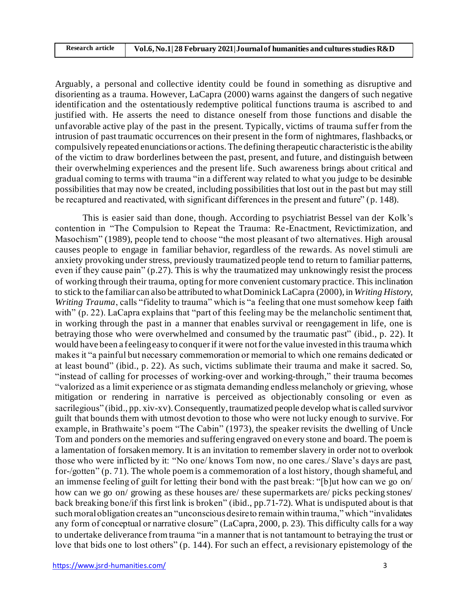Arguably, a personal and collective identity could be found in something as disruptive and disorienting as a trauma. However, LaCapra (2000) warns against the dangers of such negative identification and the ostentatiously redemptive political functions trauma is ascribed to and justified with. He asserts the need to distance oneself from those functions and disable the unfavorable active play of the past in the present. Typically, victims of trauma suffer from the intrusion of past traumatic occurrences on their present in the form of nightmares, flashbacks, or compulsively repeated enunciations or actions. The defining therapeutic characteristic is the ability of the victim to draw borderlines between the past, present, and future, and distinguish between their overwhelming experiences and the present life. Such awareness brings about critical and gradual coming to terms with trauma "in a different way related to what you judge to be desirable possibilities that may now be created, including possibilities that lost out in the past but may still be recaptured and reactivated, with significant differences in the present and future" (p. 148).

This is easier said than done, though. According to psychiatrist Bessel van der Kolk's contention in "The Compulsion to Repeat the Trauma: Re-Enactment, Revictimization, and Masochism" (1989), people tend to choose "the most pleasant of two alternatives. High arousal causes people to engage in familiar behavior, regardless of the rewards. As novel stimuli are anxiety provoking under stress, previously traumatized people tend to return to familiar patterns, even if they cause pain" (p.27). This is why the traumatized may unknowingly resist the process of working through their trauma, opting for more convenient customary practice. This inclination to stick to the familiar can also be attributed to what Dominick LaCapra (2000), in *Writing History, Writing Trauma*, calls "fidelity to trauma" which is "a feeling that one must somehow keep faith with" (p. 22). LaCapra explains that "part of this feeling may be the melancholic sentiment that, in working through the past in a manner that enables survival or reengagement in life, one is betraying those who were overwhelmed and consumed by the traumatic past" (ibid., p. 22). It would have been a feeling easy to conquer if it were not for the value invested in this trauma which makes it "a painful but necessary commemoration or memorial to which one remains dedicated or at least bound" (ibid., p. 22). As such, victims sublimate their trauma and make it sacred. So, "instead of calling for processes of working-over and working-through," their trauma becomes "valorized as a limit experience or as stigmata demanding endless melancholy or grieving, whose mitigation or rendering in narrative is perceived as objectionably consoling or even as sacrilegious" (ibid., pp. xiv-xv). Consequently, traumatized people develop what is called survivor guilt that bounds them with utmost devotion to those who were not lucky enough to survive. For example, in Brathwaite's poem "The Cabin" (1973), the speaker revisits the dwelling of Uncle Tom and ponders on the memories and suffering engraved on every stone and board. The poem is a lamentation of forsaken memory. It is an invitation to remember slavery in order not to overlook those who were inflicted by it: "No one/ knows Tom now, no one cares./ Slave's days are past, for-/gotten" (p. 71). The whole poem is a commemoration of a lost history, though shameful, and an immense feeling of guilt for letting their bond with the past break: "[b]ut how can we go on/ how can we go on/ growing as these houses are/ these supermarkets are/ picks pecking stones/ back breaking bone/if this first link is broken" (ibid., pp.71-72). What is undisputed about is that such moral obligation creates an "unconscious desire to remain within trauma," which "invalidates any form of conceptual or narrative closure" (LaCapra, 2000, p. 23). This difficulty calls for a way to undertake deliverance from trauma "in a manner that is not tantamount to betraying the trust or love that bids one to lost others" (p. 144). For such an effect, a revisionary epistemology of the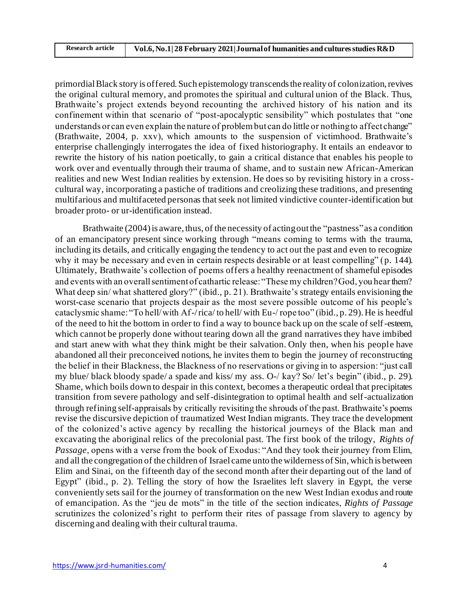**Research article** 

Research

primordial Black story is offered. Such epistemology transcends the reality of colonization, revives the original cultural memory, and promotes the spiritual and cultural union of the Black. Thus, Brathwaite's project extends beyond recounting the archived history of his nation and its confinement within that scenario of "post-apocalyptic sensibility" which postulates that "one understands or can even explain the nature of problem but can do little or nothing to affect change" (Brathwaite, 2004, p. xxv), which amounts to the suspension of victimhood. Brathwaite's enterprise challengingly interrogates the idea of fixed historiography. It entails an endeavor to rewrite the history of his nation poetically, to gain a critical distance that enables his people to work over and eventually through their trauma of shame, and to sustain new African-American realities and new West Indian realities by extension. He does so by revisiting history in a crosscultural way, incorporating a pastiche of traditions and creolizing these traditions, and presenting multifarious and multifaceted personas that seek not limited vindictive counter-identification but broader proto- or ur-identification instead.

Brathwaite (2004) is aware, thus, of the necessity of acting out the "pastness" as a condition of an emancipatory present since working through "means coming to terms with the trauma, including its details, and critically engaging the tendency to act out the past and even to recognize why it may be necessary and even in certain respects desirable or at least compelling" (p. 144). Ultimately, Brathwaite's collection of poems offers a healthy reenactment of shameful episodes and events with an overall sentiment of cathartic release: "These my children? God, you hear them? What deep sin/what shattered glory?" (ibid., p. 21). Brathwaite's strategy entails envisioning the worst-case scenario that projects despair as the most severe possible outcome of his people's cataclysmic shame: "To hell/ with Af-/ rica/ to hell/ with Eu-/ rope too" (ibid., p. 29). He is heedful of the need to hit the bottom in order to find a way to bounce back up on the scale of self-esteem, which cannot be properly done without tearing down all the grand narratives they have imbibed and start anew with what they think might be their salvation. Only then, when his people have abandoned all their preconceived notions, he invites them to begin the journey of reconstructing the belief in their Blackness, the Blackness of no reservations or giving in to aspersion: "just call my blue/ black bloody spade/ a spade and kiss/ my ass. O-/ kay? So/ let's begin" (ibid., p. 29). Shame, which boils down to despair in this context, becomes a therapeutic ordeal that precipitates transition from severe pathology and self-disintegration to optimal health and self-actualization through refining self-appraisals by critically revisiting the shrouds of the past. Brathwaite's poems revise the discursive depiction of traumatized West Indian migrants. They trace the development of the colonized's active agency by recalling the historical journeys of the Black man and excavating the aboriginal relics of the precolonial past. The first book of the trilogy, *Rights of Passage*, opens with a verse from the book of Exodus: "And they took their journey from Elim, and all the congregation of the children of Israel came unto the wilderness of Sin, which is between Elim and Sinai, on the fifteenth day of the second month after their departing out of the land of Egypt" (ibid., p. 2). Telling the story of how the Israelites left slavery in Egypt, the verse conveniently sets sail for the journey of transformation on the new West Indian exodus and route of emancipation. As the "jeu de mots" in the title of the section indicates, *Rights of Passage* scrutinizes the colonized's right to perform their rites of passage from slavery to agency by discerning and dealing with their cultural trauma.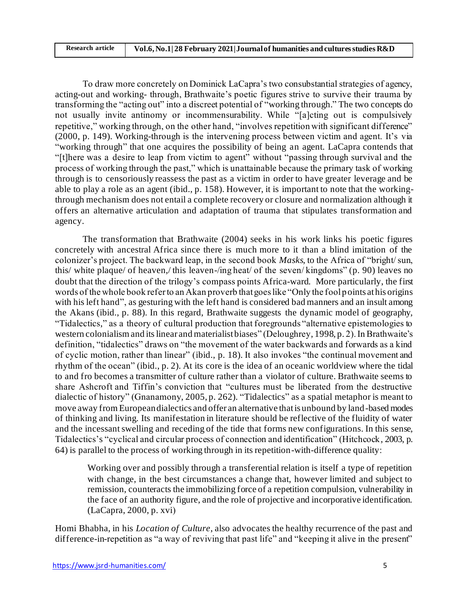Research Research article **Research article Vol.6, No.1| 28 February 2021| Journal of humanities and cultures studies R&D**

To draw more concretely on Dominick LaCapra's two consubstantial strategies of agency, acting-out and working- through, Brathwaite's poetic figures strive to survive their trauma by transforming the "acting out" into a discreet potential of "working through." The two concepts do not usually invite antinomy or incommensurability. While "[a]cting out is compulsively repetitive," working through, on the other hand, "involves repetition with significant difference" (2000, p. 149). Working-through is the intervening process between victim and agent. It's via "working through" that one acquires the possibility of being an agent. LaCapra contends that "[t]here was a desire to leap from victim to agent" without "passing through survival and the process of working through the past," which is unattainable because the primary task of working through is to censoriously reassess the past as a victim in order to have greater leverage and be able to play a role as an agent (ibid., p. 158). However, it is important to note that the workingthrough mechanism does not entail a complete recovery or closure and normalization although it offers an alternative articulation and adaptation of trauma that stipulates transformation and agency.

The transformation that Brathwaite (2004) seeks in his work links his poetic figures concretely with ancestral Africa since there is much more to it than a blind imitation of the colonizer's project. The backward leap, in the second book *Masks*, to the Africa of "bright/ sun, this/ white plaque/ of heaven,/ this leaven-/ing heat/ of the seven/ kingdoms" (p. 90) leaves no doubt that the direction of the trilogy's compass points Africa-ward. More particularly, the first words of the whole book refer to an Akan proverb that goes like "Only the fool points at his origins with his left hand", as gesturing with the left hand is considered bad manners and an insult among the Akans (ibid., p. 88). In this regard, Brathwaite suggests the dynamic model of geography, "Tidalectics," as a theory of cultural production that foregrounds "alternative epistemologies to western colonialism and its linear and materialist biases" (Deloughrey, 1998, p. 2). In Brathwaite's definition, "tidalectics" draws on "the movement of the water backwards and forwards as a kind of cyclic motion, rather than linear" (ibid., p. 18). It also invokes "the continual movement and rhythm of the ocean" (ibid., p. 2). At its core is the idea of an oceanic worldview where the tidal to and fro becomes a transmitter of culture rather than a violator of culture. Brathwaite seems to share Ashcroft and Tiffin's conviction that "cultures must be liberated from the destructive dialectic of history" (Gnanamony, 2005, p. 262). "Tidalectics" as a spatial metaphor is meant to move away from European dialectics and offer an alternative that is unbound by land-based modes of thinking and living. Its manifestation in literature should be reflective of the fluidity of water and the incessant swelling and receding of the tide that forms new configurations. In this sense, Tidalectics's "cyclical and circular process of connection and identification" (Hitchcock, 2003, p. 64) is parallel to the process of working through in its repetition-with-difference quality:

Working over and possibly through a transferential relation is itself a type of repetition with change, in the best circumstances a change that, however limited and subject to remission, counteracts the immobilizing force of a repetition compulsion, vulnerability in the face of an authority figure, and the role of projective and incorporative identification.  $(LaCapra, 2000, p. xvi)$ 

Homi Bhabha, in his *Location of Culture*, also advocates the healthy recurrence of the past and difference-in-repetition as "a way of reviving that past life" and "keeping it alive in the present"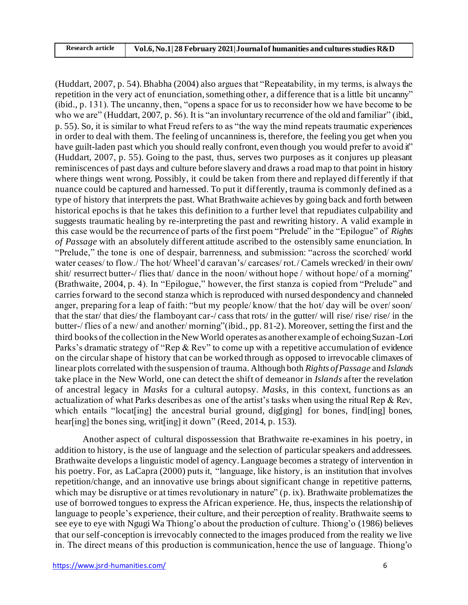(Huddart, 2007, p. 54). Bhabha (2004) also argues that "Repeatability, in my terms, is always the repetition in the very act of enunciation, something other, a difference that is a little bit uncanny" (ibid., p. 131). The uncanny, then, "opens a space for us to reconsider how we have become to be who we are" (Huddart, 2007, p. 56). It is "an involuntary recurrence of the old and familiar" (ibid., p. 55). So, it is similar to what Freud refers to as "the way the mind repeats traumatic experiences in order to deal with them. The feeling of uncanniness is, therefore, the feeling you get when you have guilt-laden past which you should really confront, even though you would prefer to avoid it" (Huddart, 2007, p. 55). Going to the past, thus, serves two purposes as it conjures up pleasant reminiscences of past days and culture before slavery and draws a road map to that point in history where things went wrong. Possibly, it could be taken from there and replayed differently if that nuance could be captured and harnessed. To put it differently, trauma is commonly defined as a type of history that interprets the past. What Brathwaite achieves by going back and forth between historical epochs is that he takes this definition to a further level that repudiates culpability and suggests traumatic healing by re-interpreting the past and rewriting history. A valid example in this case would be the recurrence of parts of the first poem "Prelude" in the "Epilogue" of *Rights of Passage* with an absolutely different attitude ascribed to the ostensibly same enunciation. In "Prelude," the tone is one of despair, barrenness, and submission: "across the scorched/ world water ceases/ to flow./ The hot/ Wheel'd caravan's/ carcases/ rot./ Camels wrecked/ in their own/ shit/resurrect butter-/ flies that/dance in the noon/without hope/without hope/ of a morning" (Brathwaite, 2004, p. 4). In "Epilogue," however, the first stanza is copied from "Prelude" and carries forward to the second stanza which is reproduced with nursed despondency and channeled anger, preparing for a leap of faith: "but my people/ know/ that the hot/ day will be over/ soon/ that the star/ that dies/ the flamboyant car-/ cass that rots/ in the gutter/ will rise/ rise/ rise/ in the butter-/ flies of a new/ and another/ morning"(ibid., pp. 81-2). Moreover, setting the first and the third books of the collection in the New World operates as another example of echoing Suzan -Lori Parks's dramatic strategy of "Rep & Rev" to come up with a repetitive accumulation of evidence on the circular shape of history that can be worked through as opposed to irrevocable climaxes of linear plots correlated with the suspension of trauma. Although both *Rights of Passage* and *Islands* take place in the New World, one can detect the shift of demeanor in *Islands* after the revelation of ancestral legacy in *Masks* for a cultural autopsy. *Masks*, in this context, functions as an actualization of what Parks describes as one of the artist's tasks when using the ritual Rep & Rev, which entails "locat [ing] the ancestral burial ground, dig[ging] for bones, find [ing] bones, hear[ing] the bones sing, writ[ing] it down" (Reed, 2014, p. 153).

Another aspect of cultural dispossession that Brathwaite re-examines in his poetry, in addition to history, is the use of language and the selection of particular speakers and addressees. Brathwaite develops a linguistic model of agency. Language becomes a strategy of intervention in his poetry. For, as LaCapra (2000) puts it, "language, like history, is an institution that involves repetition/change, and an innovative use brings about significant change in repetitive patterns, which may be disruptive or at times revolutionary in nature" (p. ix). Brathwaite problematizes the use of borrowed tongues to express the African experience. He, thus, inspects the relationship of language to people's experience, their culture, and their perception of reality. Brathwaite seems to see eye to eye with Ngugi Wa Thiong'o about the production of culture. Thiong'o (1986) believes that our self-conception is irrevocably connected to the images produced from the reality we live in. The direct means of this production is communication, hence the use of language. Thiong'o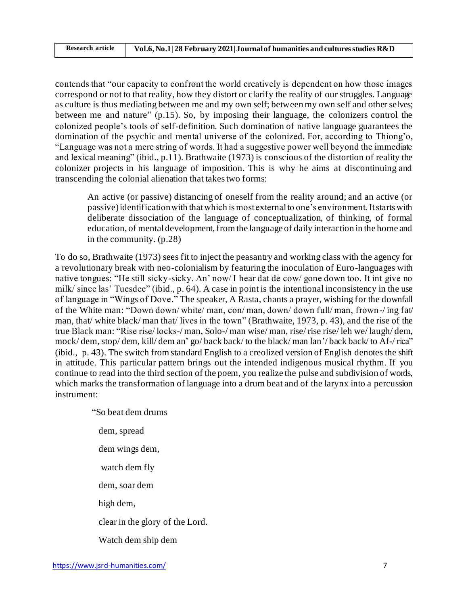contends that "our capacity to confront the world creatively is dependent on how those images correspond or not to that reality, how they distort or clarify the reality of our struggles. Language as culture is thus mediating between me and my own self; between my own self and other selves; between me and nature" (p.15). So, by imposing their language, the colonizers control the colonized people's tools of self-definition. Such domination of native language guarantees the domination of the psychic and mental universe of the colonized. For, according to Thiong'o, "Language was not a mere string of words. It had a suggestive power well beyond the immediate and lexical meaning" (ibid., p.11). Brathwaite (1973) is conscious of the distortion of reality the colonizer projects in his language of imposition. This is why he aims at discontinuing and transcending the colonial alienation that takes two forms:

An active (or passive) distancing of oneself from the reality around; and an active (or passive) identification with that which is most external to one's environment. It starts with deliberate dissociation of the language of conceptualization, of thinking, of formal education, of mental development, from the language of daily interaction in the home and in the community. (p.28)

To do so, Brathwaite (1973) sees fit to inject the peasantry and working class with the agency for a revolutionary break with neo-colonialism by featuring the inoculation of Euro-languages with native tongues: "He still sicky-sicky. An' now/ I hear dat de cow/ gone down too. It int give no milk/ since las' Tuesdee" (ibid., p. 64). A case in point is the intentional inconsistency in the use of language in "Wings of Dove." The speaker, A Rasta, chants a prayer, wishing for the downfall of the White man: "Down down/ white/ man, con/ man, down/ down full/ man, frown-/ ing fat/ man, that/ white black/ man that/ lives in the town" (Brathwaite, 1973, p. 43), and the rise of the true Black man: "Rise rise/ locks-/ man, Solo-/ man wise/ man, rise/ rise rise/ leh we/ laugh/ dem, mock/ dem, stop/ dem, kill/ dem an' go/ back back/ to the black/ man lan'/ back back/ to Af-/ rica" (ibid., p. 43). The switch from standard English to a creolized version of English denotes the shift in attitude. This particular pattern brings out the intended indigenous musical rhythm. If you continue to read into the third section of the poem, you realize the pulse and subdivision of words, which marks the transformation of language into a drum beat and of the larynx into a percussion instrument:

 "So beat dem drums dem, spread dem wings dem, watch dem fly dem, soar dem high dem, clear in the glory of the Lord. Watch dem ship dem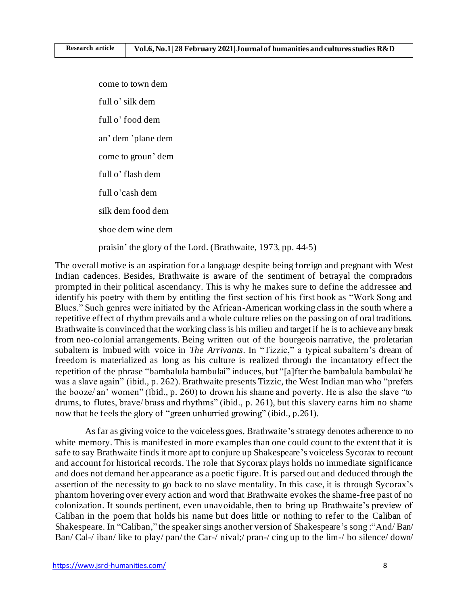come to town dem full o' silk dem full o' food dem an' dem 'plane dem come to groun' dem full o' flash dem full o'cash dem silk dem food dem shoe dem wine dem praisin' the glory of the Lord. (Brathwaite, 1973, pp. 44-5)

The overall motive is an aspiration for a language despite being foreign and pregnant with West Indian cadences. Besides, Brathwaite is aware of the sentiment of betrayal the compradors prompted in their political ascendancy. This is why he makes sure to define the addressee and identify his poetry with them by entitling the first section of his first book as "Work Song and Blues." Such genres were initiated by the African-American working class in the south where a repetitive effect of rhythm prevails and a whole culture relies on the passing on of oral traditions. Brathwaite is convinced that the working class is his milieu and target if he is to achieve any break from neo-colonial arrangements. Being written out of the bourgeois narrative, the proletarian subaltern is imbued with voice in *The Arrivants*. In "Tizzic," a typical subaltern's dream of freedom is materialized as long as his culture is realized through the incantatory effect the repetition of the phrase "bambalula bambulai" induces, but "[a]fter the bambalula bambulai/ he was a slave again" (ibid., p. 262). Brathwaite presents Tizzic, the West Indian man who "prefers the booze/ an' women" (ibid., p. 260) to drown his shame and poverty. He is also the slave "to drums, to flutes, brave/ brass and rhythms" (ibid., p. 261), but this slavery earns him no shame now that he feels the glory of "green unhurried growing" (ibid., p.261).

As far as giving voice to the voiceless goes, Brathwaite's strategy denotes adherence to no white memory. This is manifested in more examples than one could count to the extent that it is safe to say Brathwaite finds it more apt to conjure up Shakespeare's voiceless Sycorax to recount and account for historical records. The role that Sycorax plays holds no immediate significance and does not demand her appearance as a poetic figure. It is parsed out and deduced through the assertion of the necessity to go back to no slave mentality. In this case, it is through Sycorax 's phantom hovering over every action and word that Brathwaite evokes the shame-free past of no colonization. It sounds pertinent, even unavoidable, then to bring up Brathwaite's preview of Caliban in the poem that holds his name but does little or nothing to refer to the Caliban of Shakespeare. In "Caliban," the speaker sings another version of Shakespeare's song :"And/ Ban/ Ban/ Cal-/ iban/ like to play/ pan/ the Car-/ nival;/ pran-/ cing up to the lim-/ bo silence/ down/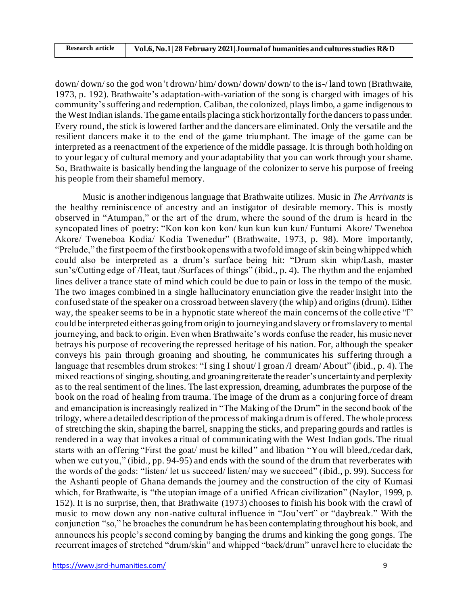Research article

Research

down/ down/ so the god won't drown/ him/ down/ down/ down/ to the is-/ land town (Brathwaite, 1973, p. 192). Brathwaite's adaptation-with-variation of the song is charged with images of his community's suffering and redemption. Caliban, the colonized, plays limbo, a game indigenous to the West Indian islands. The game entails placing a stick horizontally for the dancers to pass under. Every round, the stick is lowered farther and the dancers are eliminated. Only the versatile and the resilient dancers make it to the end of the game triumphant. The image of the game can be interpreted as a reenactment of the experience of the middle passage. It is through both holding on to your legacy of cultural memory and your adaptability that you can work through your shame. So, Brathwaite is basically bending the language of the colonizer to serve his purpose of freeing his people from their shameful memory.

Music is another indigenous language that Brathwaite utilizes. Music in *The Arrivants* is the healthy reminiscence of ancestry and an instigator of desirable memory. This is mostly observed in "Atumpan," or the art of the drum, where the sound of the drum is heard in the syncopated lines of poetry: "Kon kon kon kon/ kun kun kun kun/ Funtumi Akore/ Tweneboa Akore/ Tweneboa Kodia/ Kodia Twenedur" (Brathwaite, 1973, p. 98). More importantly, "Prelude," the first poem of the first book opens with a twofold image of skin being whipped which could also be interpreted as a drum's surface being hit: "Drum skin whip/Lash, master sun's/Cutting edge of /Heat, taut /Surfaces of things" (ibid., p. 4). The rhythm and the enjambed lines deliver a trance state of mind which could be due to pain or loss in the tempo of the music. The two images combined in a single hallucinatory enunciation give the reader insight into the confused state of the speaker on a crossroad between slavery (the whip) and origins (drum). Either way, the speaker seems to be in a hypnotic state whereof the main concerns of the collective "I" could be interpreted either as going from origin to journeying and slavery or from slavery to mental journeying, and back to origin. Even when Brathwaite's words confuse the reader, his music never betrays his purpose of recovering the repressed heritage of his nation. For, although the speaker conveys his pain through groaning and shouting, he communicates his suffering through a language that resembles drum strokes: "I sing I shout/ I groan /I dream/About" (ibid., p. 4). The mixed reactions of singing, shouting, and groaning reiterate the reader's uncertainty and perplexity as to the real sentiment of the lines. The last expression, dreaming, adumbrates the purpose of the book on the road of healing from trauma. The image of the drum as a conjuring force of dream and emancipation is increasingly realized in "The Making of the Drum" in the second book of the trilogy, where a detailed description of the process of making a drum is offered. The whole process of stretching the skin, shaping the barrel, snapping the sticks, and preparing gourds and rattles is rendered in a way that invokes a ritual of communicating with the West Indian gods. The ritual starts with an offering "First the goat/ must be killed" and libation "You will bleed,/cedar dark, when we cut you," (ibid., pp. 94-95) and ends with the sound of the drum that reverberates with the words of the gods: "listen/ let us succeed/ listen/ may we succeed" (ibid., p. 99). Success for the Ashanti people of Ghana demands the journey and the construction of the city of Kumasi which, for Brathwaite, is "the utopian image of a unified African civilization" (Naylor, 1999, p. 152). It is no surprise, then, that Brathwaite (1973) chooses to finish his book with the crawl of music to mow down any non-native cultural influence in "Jou'vert" or "daybreak." With the conjunction "so," he broaches the conundrum he has been contemplating throughout his book, and announces his people's second coming by banging the drums and kinking the gong gongs. The recurrent images of stretched "drum/skin" and whipped "back/drum" unravel here to elucidate the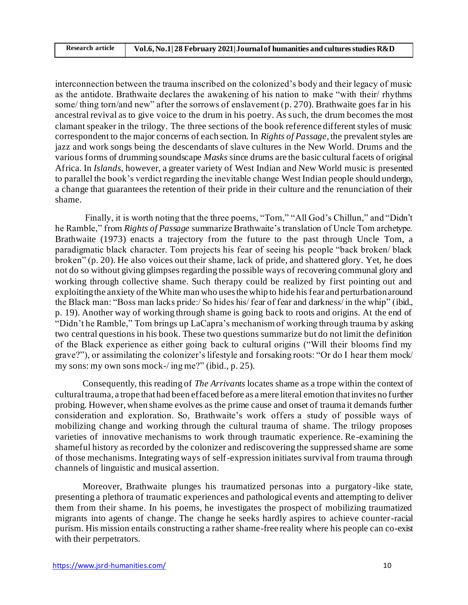Research article

Research

interconnection between the trauma inscribed on the colonized's body and their legacy of music as the antidote. Brathwaite declares the awakening of his nation to make "with their/ rhythms some/ thing torn/and new" after the sorrows of enslavement (p. 270). Brathwaite goes far in his ancestral revival as to give voice to the drum in his poetry. As such, the drum becomes the most clamant speaker in the trilogy. The three sections of the book reference different styles of music correspondent to the major concerns of each section. In *Rights of Passage*, the prevalent styles are jazz and work songs being the descendants of slave cultures in the New World. Drums and the various forms of drumming soundscape *Masks* since drums are the basic cultural facets of original Africa. In *Islands*, however, a greater variety of West Indian and New World music is presented to parallel the book's verdict regarding the inevitable change West Indian people should undergo, a change that guarantees the retention of their pride in their culture and the renunciation of their shame.

Finally, it is worth noting that the three poems, "Tom," "All God's Chillun," and "Didn't he Ramble," from *Rights of Passage* summarize Brathwaite's translation of Uncle Tom archetype. Brathwaite (1973) enacts a trajectory from the future to the past through Uncle Tom, a paradigmatic black character. Tom projects his fear of seeing his people "back broken/ black broken" (p. 20). He also voices out their shame, lack of pride, and shattered glory. Yet, he does not do so without giving glimpses regarding the possible ways of recovering communal glory and working through collective shame. Such therapy could be realized by first pointing out and exploiting the anxiety of the White man who uses the whip to hide his fear and perturbation around the Black man: "Boss man lacks pride:/ So hides his/ fear of fear and darkness/ in the whip" (ibid., p. 19). Another way of working through shame is going back to roots and origins. At the end of "Didn't he Ramble," Tom brings up LaCapra's mechanism of working through trauma by asking two central questions in his book. These two questions summarize but do not limit the definition of the Black experience as either going back to cultural origins ("Will their blooms find my grave?"), or assimilating the colonizer's lifestyle and forsaking roots: "Or do I hear them mock/ my sons: my own sons mock-/ ing me?" (ibid., p. 25).

Consequently, this reading of *The Arrivants* locates shame as a trope within the context of cultural trauma, a trope that had been effaced before as a mere literal emotion that invites no further probing. However, when shame evolves as the prime cause and onset of trauma it demands further consideration and exploration. So, Brathwaite's work offers a study of possible ways of mobilizing change and working through the cultural trauma of shame. The trilogy proposes varieties of innovative mechanisms to work through traumatic experience. Re-examining the shameful history as recorded by the colonizer and rediscovering the suppressed shame are some of those mechanisms. Integrating ways of self-expression initiates survival from trauma through channels of linguistic and musical assertion.

Moreover, Brathwaite plunges his traumatized personas into a purgatory-like state, presenting a plethora of traumatic experiences and pathological events and attempting to deliver them from their shame. In his poems, he investigates the prospect of mobilizing traumatized migrants into agents of change. The change he seeks hardly aspires to achieve counter-racial purism. His mission entails constructing a rather shame-free reality where his people can co-exist with their perpetrators.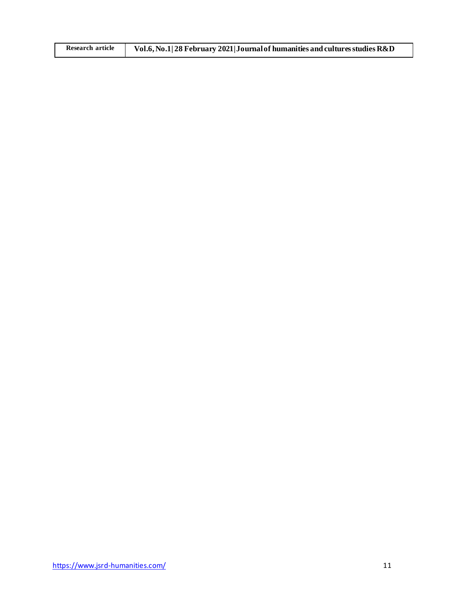| Research article | Vol.6, No.1   28 February 2021   Journal of humanities and cultures studies R&D |
|------------------|---------------------------------------------------------------------------------|